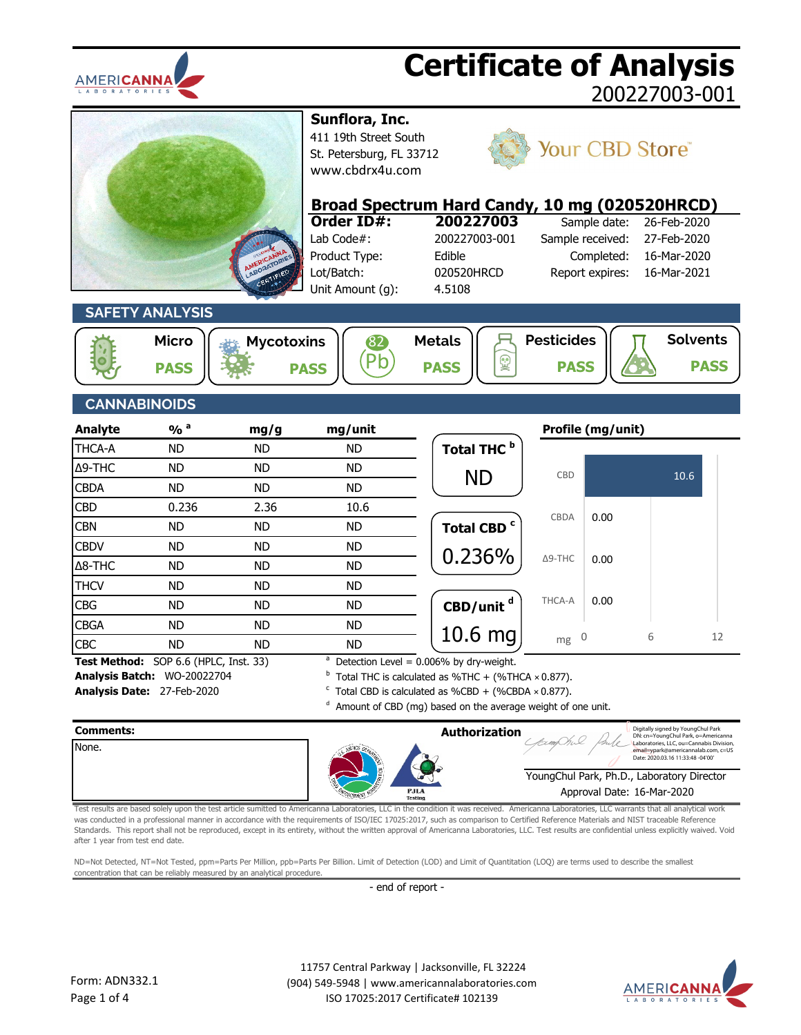



- 
- **Comments: Authorization** YoungChul Park, Ph.D., Laboratory Director None. Approval Date: 16-Mar-2020 Digitally signed by YoungChul Park DN: cn=YoungChul Park, o=Americanna Laboratories, LLC, ou=Cannabis Division, email=ypark@americannalab.com, c=US Date: 2020.03.16 11:33:48 -04'00'

Test results are based solely upon the test article sumitted to Americanna Laboratories, LLC in the condition it was received. Americanna Laboratories, LLC warrants that all analytical work was conducted in a professional manner in accordance with the requirements of ISO/IEC 17025:2017, such as comparison to Certified Reference Materials and NIST traceable Reference Standards. This report shall not be reproduced, except in its entirety, without the written approval of Americanna Laboratories, LLC. Test results are confidential unless explicitly waived. Void after 1 year from test end date.

ND=Not Detected, NT=Not Tested, ppm=Parts Per Million, ppb=Parts Per Billion. Limit of Detection (LOD) and Limit of Quantitation (LOQ) are terms used to describe the smallest concentration that can be reliably measured by an analytical procedure.

- end of report -

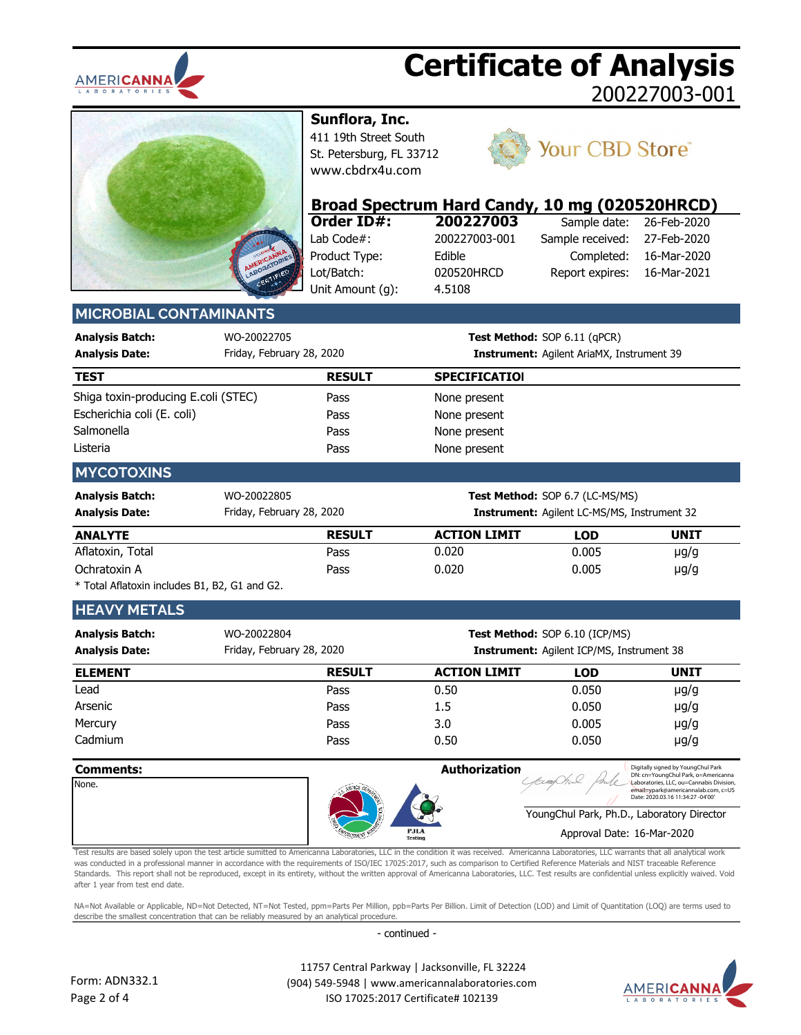



**Sunflora, Inc.**

411 19th Street South St. Petersburg, FL 33712 [www.cbdrx4u.com](http://www.cbdrx4u.com/)



### Your CBD Store®

|                               |             | Broad Spectrum Hard Candy, 10 mg (020520HRCD) |               |                              |             |
|-------------------------------|-------------|-----------------------------------------------|---------------|------------------------------|-------------|
|                               |             | Order ID#:                                    | 200227003     | Sample date:                 | 26-Feb-2020 |
|                               |             | Lab Code $#$ :                                | 200227003-001 | Sample received:             | 27-Feb-2020 |
|                               |             | Product Type:                                 | Edible        | Completed:                   | 16-Mar-2020 |
|                               |             | Lot/Batch:                                    | 020520HRCD    | Report expires:              | 16-Mar-2021 |
|                               |             | Unit Amount (q):                              | 4.5108        |                              |             |
| <b>MICROBIAL CONTAMINANTS</b> |             |                                               |               |                              |             |
| <b>Analysis Batch:</b>        | WO-20022705 |                                               |               | Test Method: SOP 6.11 (qPCR) |             |

| <b>Analysis Date:</b>               | Friday, February 28, 2020 |               | <b>Instrument:</b> Agilent AriaMX, Instrument 39   |                                 |             |
|-------------------------------------|---------------------------|---------------|----------------------------------------------------|---------------------------------|-------------|
| <b>TEST</b>                         |                           | <b>RESULT</b> | <b>SPECIFICATIOI</b>                               |                                 |             |
| Shiga toxin-producing E.coli (STEC) |                           | Pass          | None present                                       |                                 |             |
| Escherichia coli (E. coli)          |                           | Pass          | None present                                       |                                 |             |
| Salmonella                          |                           | Pass          | None present                                       |                                 |             |
| Listeria                            |                           | Pass          | None present                                       |                                 |             |
| <b>MYCOTOXINS</b>                   |                           |               |                                                    |                                 |             |
| <b>Analysis Batch:</b>              | WO-20022805               |               |                                                    | Test Method: SOP 6.7 (LC-MS/MS) |             |
| <b>Analysis Date:</b>               | Friday, February 28, 2020 |               | <b>Instrument:</b> Agilent LC-MS/MS, Instrument 32 |                                 |             |
| <b>ANALYTE</b>                      |                           | <b>RESULT</b> | <b>ACTION LIMIT</b>                                | <b>LOD</b>                      | <b>UNIT</b> |
| Aflatoxin, Total                    |                           | Pass          | 0.020                                              | 0.005                           | $\mu$ g/g   |
| Ochratoxin A                        |                           | Pass          | 0.020                                              | 0.005                           | $\mu$ g/g   |
|                                     |                           |               |                                                    |                                 |             |

\* Total Aflatoxin includes B1, B2, G1 and G2.

### **HEAVY METALS**

| <b>Analysis Batch:</b><br><b>Analysis Date:</b> | WO-20022804<br>Friday, February 28, 2020 | <b>Test Method: SOP 6.10 (ICP/MS)</b><br><b>Instrument:</b> Agilent ICP/MS, Instrument 38 |            |             |
|-------------------------------------------------|------------------------------------------|-------------------------------------------------------------------------------------------|------------|-------------|
| <b>ELEMENT</b>                                  | <b>RESULT</b>                            | <b>ACTION LIMIT</b>                                                                       | <b>LOD</b> | <b>UNIT</b> |
| Lead                                            | Pass                                     | 0.50                                                                                      | 0.050      | $\mu$ g/g   |
| Arsenic                                         | Pass                                     | 1.5                                                                                       | 0.050      | $\mu$ g/g   |
| Mercury                                         | Pass                                     | 3.0                                                                                       | 0.005      | $\mu$ g/g   |
| Cadmium                                         | Pass                                     | 0.50                                                                                      | 0.050      | $\mu$ g/g   |



Test results are based solely upon the test article sumitted to Americanna Laboratories, LLC in the condition it was received. Americanna Laboratories, LLC warrants that all analytical work was conducted in a professional manner in accordance with the requirements of ISO/IEC 17025:2017, such as comparison to Certified Reference Materials and NIST traceable Reference Standards. This report shall not be reproduced, except in its entirety, without the written approval of Americanna Laboratories, LLC. Test results are confidential unless explicitly waived. Void after 1 year from test end date.

NA=Not Available or Applicable, ND=Not Detected, NT=Not Tested, ppm=Parts Per Million, ppb=Parts Per Billion. Limit of Detection (LOD) and Limit of Quantitation (LOQ) are terms used to describe the smallest concentration that can be reliably measured by an analytical procedure.

- continued -

 11757 Central Parkway | Jacksonville, FL 32224 (904) 549-5948 | www.americannalaboratories.com ISO 17025:2017 Certificate# 102139



Digitally signed by YoungChul Park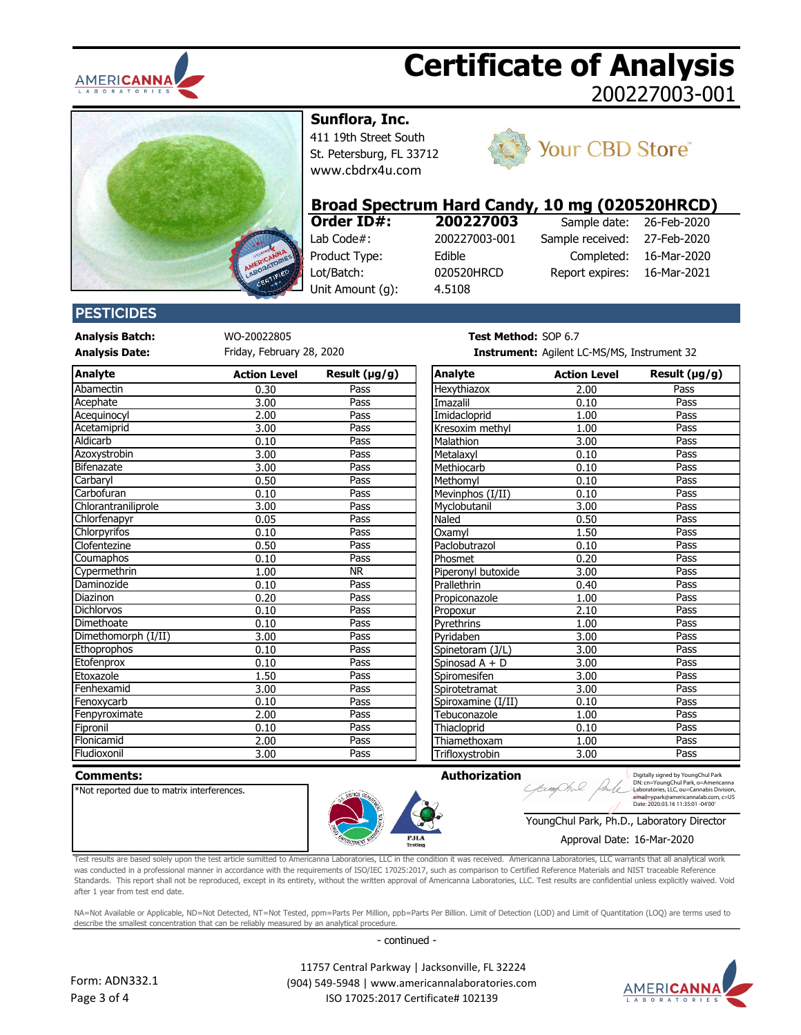



**Sunflora, Inc.**

411 19th Street South St. Petersburg, FL 33712 [www.cbdrx4u.com](http://www.cbdrx4u.com/)



### Your CBD Store®

# **Broad Spectrum Hard Candy, 10 mg (020520HRCD)**

| Order ID#:       | 200227003     |
|------------------|---------------|
| Lab Code#:       | 200227003-001 |
| Product Type:    | Edible        |
| Lot/Batch:       | 020520HRCD    |
| Unit Amount (q): | 4.5108        |

|                  | .           |
|------------------|-------------|
| Sample date:     | 26-Feb-2020 |
| Sample received: | 27-Feb-2020 |
| Completed:       | 16-Mar-2020 |
| Report expires:  | 16-Mar-2021 |
|                  |             |

### **PESTICIDES**

**Analysis Batch:** WO-20022805 **Test Method:** SOP 6.78

Friday, February 28, 2020

| Analyte             | <b>Action Level</b> | Result $(\mu g/g)$ | Analyte            | <b>Action Level</b> | Result $(\mu g/g)$ |
|---------------------|---------------------|--------------------|--------------------|---------------------|--------------------|
| Abamectin           | 0.30                | Pass               | Hexythiazox        | 2.00                | Pass               |
| Acephate            | 3.00                | Pass               | Imazalil           | 0.10                | Pass               |
| Acequinocyl         | 2.00                | Pass               | Imidacloprid       | 1.00                | Pass               |
| Acetamiprid         | 3.00                | Pass               | Kresoxim methyl    | 1.00                | Pass               |
| Aldicarb            | 0.10                | Pass               | Malathion          | 3.00                | Pass               |
| Azoxystrobin        | 3.00                | Pass               | Metalaxyl          | 0.10                | Pass               |
| Bifenazate          | 3.00                | Pass               | Methiocarb         | 0.10                | Pass               |
| Carbaryl            | 0.50                | Pass               | Methomyl           | 0.10                | Pass               |
| Carbofuran          | 0.10                | Pass               | Mevinphos (I/II)   | 0.10                | Pass               |
| Chlorantraniliprole | 3.00                | Pass               | Myclobutanil       | 3.00                | Pass               |
| Chlorfenapyr        | 0.05                | Pass               | Naled              | 0.50                | Pass               |
| Chlorpyrifos        | 0.10                | Pass               | Oxamyl             | 1.50                | Pass               |
| Clofentezine        | 0.50                | Pass               | Paclobutrazol      | 0.10                | Pass               |
| Coumaphos           | 0.10                | Pass               | Phosmet            | 0.20                | Pass               |
| Cypermethrin        | 1.00                | <b>NR</b>          | Piperonyl butoxide | 3.00                | Pass               |
| Daminozide          | 0.10                | Pass               | Prallethrin        | 0.40                | Pass               |
| Diazinon            | 0.20                | Pass               | Propiconazole      | 1.00                | Pass               |
| <b>Dichlorvos</b>   | 0.10                | Pass               | Propoxur           | 2.10                | Pass               |
| Dimethoate          | 0.10                | Pass               | Pyrethrins         | 1.00                | Pass               |
| Dimethomorph (I/II) | 3.00                | Pass               | Pyridaben          | 3.00                | Pass               |
| <b>Ethoprophos</b>  | 0.10                | Pass               | Spinetoram (J/L)   | 3.00                | Pass               |
| Etofenprox          | 0.10                | Pass               | Spinosad A + D     | 3.00                | Pass               |
| Etoxazole           | 1.50                | Pass               | Spiromesifen       | 3.00                | Pass               |
| Fenhexamid          | 3.00                | Pass               | Spirotetramat      | 3.00                | Pass               |
| Fenoxycarb          | 0.10                | Pass               | Spiroxamine (I/II) | 0.10                | Pass               |
| Fenpyroximate       | 2.00                | Pass               | Tebuconazole       | 1.00                | Pass               |
| Fipronil            | 0.10                | Pass               | Thiacloprid        | 0.10                | Pass               |
| Flonicamid          | 2.00                | Pass               | Thiamethoxam       | 1.00                | Pass               |
| Fludiovonil         | 3 UU                | <b>Pacc</b>        | Triflovvctrobin    | 3 UU                | <b>Pacc</b>        |

| <b>est Method:</b> SOP 6.7 |  |                  |  |
|----------------------------|--|------------------|--|
|                            |  | . . <del>.</del> |  |

**Analysis Date: Instrument:** Agilent LC-MS/MS, Instrument 32

| Analyte             | <b>Action Level</b> | Result $(\mu g/g)$ | <b>Analyte</b>     | <b>Action Level</b> | Result $(\mu g/g)$ |
|---------------------|---------------------|--------------------|--------------------|---------------------|--------------------|
| Abamectin           | 0.30                | Pass               | <b>Hexythiazox</b> | 2.00                | Pass               |
| Acephate            | 3.00                | Pass               | Imazalil           | 0.10                | Pass               |
| Aceguinocyl         | 2.00                | Pass               | Imidacloprid       | 1.00                | Pass               |
| Acetamiprid         | 3.00                | Pass               | Kresoxim methyl    | 1.00                | Pass               |
| Aldicarb            | 0.10                | Pass               | Malathion          | 3.00                | Pass               |
| Azoxystrobin        | 3.00                | Pass               | Metalaxyl          | 0.10                | Pass               |
| <b>Bifenazate</b>   | 3.00                | Pass               | Methiocarb         | 0.10                | Pass               |
| Carbaryl            | 0.50                | Pass               | Methomyl           | 0.10                | Pass               |
| Carbofuran          | 0.10                | Pass               | Mevinphos (I/II)   | 0.10                | Pass               |
| Chlorantraniliprole | 3.00                | Pass               | Myclobutanil       | 3.00                | Pass               |
| Chlorfenapyr        | 0.05                | Pass               | Naled              | 0.50                | Pass               |
| Chlorpyrifos        | 0.10                | Pass               | Oxamvl             | 1.50                | Pass               |
| Clofentezine        | 0.50                | Pass               | Paclobutrazol      | 0.10                | Pass               |
| Coumaphos           | 0.10                | Pass               | Phosmet            | 0.20                | Pass               |
| Cypermethrin        | 1.00                | <b>NR</b>          | Piperonyl butoxide | 3.00                | Pass               |
| Daminozide          | 0.10                | Pass               | Prallethrin        | 0.40                | Pass               |
| Diazinon            | 0.20                | Pass               | Propiconazole      | 1.00                | Pass               |
| <b>Dichlorvos</b>   | 0.10                | Pass               | Propoxur           | 2.10                | Pass               |
| Dimethoate          | 0.10                | Pass               | Pyrethrins         | 1.00                | Pass               |
| Dimethomorph (I/II) | 3.00                | Pass               | Pyridaben          | 3.00                | Pass               |
| Ethoprophos         | 0.10                | Pass               | Spinetoram (J/L)   | 3.00                | Pass               |
| Etofenprox          | 0.10                | Pass               | Spinosad A + D     | 3.00                | Pass               |
| Etoxazole           | 1.50                | Pass               | Spiromesifen       | 3.00                | Pass               |
| Fenhexamid          | 3.00                | Pass               | Spirotetramat      | 3.00                | Pass               |
| Fenoxycarb          | 0.10                | Pass               | Spiroxamine (I/II) | 0.10                | Pass               |
| Fenpyroximate       | 2.00                | Pass               | Tebuconazole       | 1.00                | Pass               |
| Fipronil            | 0.10                | Pass               | Thiacloprid        | 0.10                | Pass               |
| Flonicamid          | 2.00                | Pass               | Thiamethoxam       | 1.00                | Pass               |
| Fludioxonil         | 3.00                | Pass               | Trifloxystrobin    | 3.00                | Pass               |

bxmOhil

#### **Comments: Authorization**

\*Not reported due to matrix interferences.



Digitally signed by YoungChul Park<br>DN: cn=YoungChul Park, o=Americanna<br>Laboratories, LLC, ou=Cannabis Division,<br>email=ypark@americannalab.com, c=US<br>Date: 2020.03.16 11:35:01 -04'00'

YoungChul Park, Ph.D., Laboratory Director

#### Approval Date: 16-Mar-2020

Test results are based solely upon the test article sumitted to Americanna Laboratories, LLC in the condition it was received. Americanna Laboratories, LLC warrants that all analytical work was conducted in a professional manner in accordance with the requirements of ISO/IEC 17025:2017, such as comparison to Certified Reference Materials and NIST traceable Reference Standards. This report shall not be reproduced, except in its entirety, without the written approval of Americanna Laboratories, LLC. Test results are confidential unless explicitly waived. Void after 1 year from test end date.

- continued - NA=Not Available or Applicable, ND=Not Detected, NT=Not Tested, ppm=Parts Per Million, ppb=Parts Per Billion. Limit of Detection (LOD) and Limit of Quantitation (LOQ) are terms used to describe the smallest concentration that can be reliably measured by an analytical procedure.



 11757 Central Parkway | Jacksonville, FL 32224 (904) 549-5948 | www.americannalaboratories.com ISO 17025:2017 Certificate# 102139